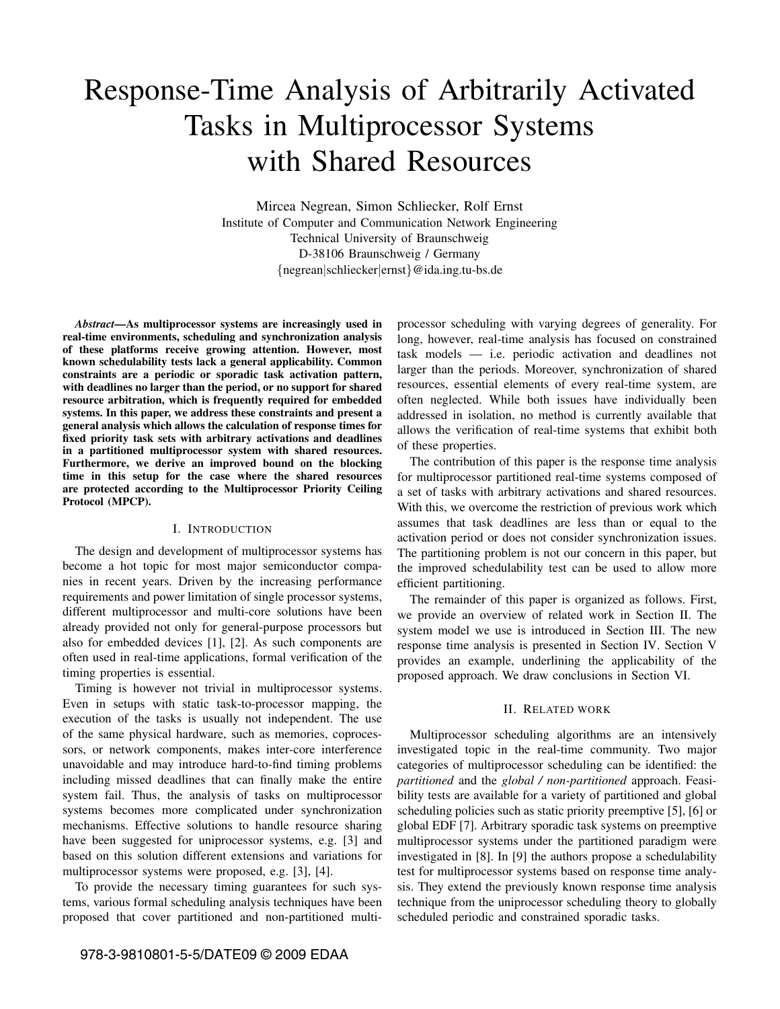# Response-Time Analysis of Arbitrarily Activated Tasks in Multiprocessor Systems with Shared Resources

Mircea Negrean, Simon Schliecker, Rolf Ernst Institute of Computer and Communication Network Engineering Technical University of Braunschweig D-38106 Braunschweig / Germany {negrean|schliecker|ernst}@ida.ing.tu-bs.de

*Abstract*—As multiprocessor systems are increasingly used in real-time environments, scheduling and synchronization analysis of these platforms receive growing attention. However, most known schedulability tests lack a general applicability. Common constraints are a periodic or sporadic task activation pattern, with deadlines no larger than the period, or no support for shared resource arbitration, which is frequently required for embedded systems. In this paper, we address these constraints and present a general analysis which allows the calculation of response times for fixed priority task sets with arbitrary activations and deadlines in a partitioned multiprocessor system with shared resources. Furthermore, we derive an improved bound on the blocking time in this setup for the case where the shared resources are protected according to the Multiprocessor Priority Ceiling Protocol (MPCP).

# I. INTRODUCTION

The design and development of multiprocessor systems has become a hot topic for most major semiconductor companies in recent years. Driven by the increasing performance requirements and power limitation of single processor systems, different multiprocessor and multi-core solutions have been already provided not only for general-purpose processors but also for embedded devices [1], [2]. As such components are often used in real-time applications, formal verification of the timing properties is essential.

Timing is however not trivial in multiprocessor systems. Even in setups with static task-to-processor mapping, the execution of the tasks is usually not independent. The use of the same physical hardware, such as memories, coprocessors, or network components, makes inter-core interference unavoidable and may introduce hard-to-find timing problems including missed deadlines that can finally make the entire system fail. Thus, the analysis of tasks on multiprocessor systems becomes more complicated under synchronization mechanisms. Effective solutions to handle resource sharing have been suggested for uniprocessor systems, e.g. [3] and based on this solution different extensions and variations for multiprocessor systems were proposed, e.g. [3], [4].

To provide the necessary timing guarantees for such systems, various formal scheduling analysis techniques have been proposed that cover partitioned and non-partitioned multiprocessor scheduling with varying degrees of generality. For long, however, real-time analysis has focused on constrained task models — i.e. periodic activation and deadlines not larger than the periods. Moreover, synchronization of shared resources, essential elements of every real-time system, are often neglected. While both issues have individually been addressed in isolation, no method is currently available that allows the verification of real-time systems that exhibit both of these properties.

The contribution of this paper is the response time analysis for multiprocessor partitioned real-time systems composed of a set of tasks with arbitrary activations and shared resources. With this, we overcome the restriction of previous work which assumes that task deadlines are less than or equal to the activation period or does not consider synchronization issues. The partitioning problem is not our concern in this paper, but the improved schedulability test can be used to allow more efficient partitioning.

The remainder of this paper is organized as follows. First, we provide an overview of related work in Section II. The system model we use is introduced in Section III. The new response time analysis is presented in Section IV. Section V provides an example, underlining the applicability of the proposed approach. We draw conclusions in Section VI.

#### II. RELATED WORK

Multiprocessor scheduling algorithms are an intensively investigated topic in the real-time community. Two major categories of multiprocessor scheduling can be identified: the *partitioned* and the *global / non-partitioned* approach. Feasibility tests are available for a variety of partitioned and global scheduling policies such as static priority preemptive [5], [6] or global EDF [7]. Arbitrary sporadic task systems on preemptive multiprocessor systems under the partitioned paradigm were investigated in [8]. In [9] the authors propose a schedulability test for multiprocessor systems based on response time analysis. They extend the previously known response time analysis technique from the uniprocessor scheduling theory to globally scheduled periodic and constrained sporadic tasks.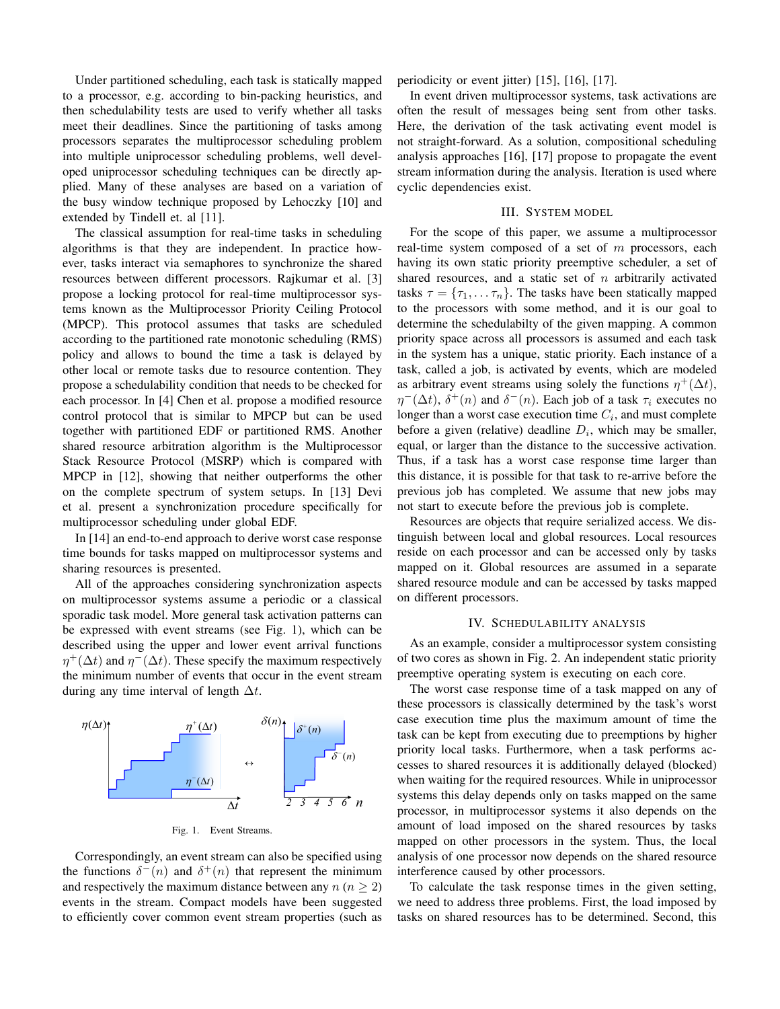Under partitioned scheduling, each task is statically mapped to a processor, e.g. according to bin-packing heuristics, and then schedulability tests are used to verify whether all tasks meet their deadlines. Since the partitioning of tasks among processors separates the multiprocessor scheduling problem into multiple uniprocessor scheduling problems, well developed uniprocessor scheduling techniques can be directly applied. Many of these analyses are based on a variation of the busy window technique proposed by Lehoczky [10] and extended by Tindell et. al [11].

The classical assumption for real-time tasks in scheduling algorithms is that they are independent. In practice however, tasks interact via semaphores to synchronize the shared resources between different processors. Rajkumar et al. [3] propose a locking protocol for real-time multiprocessor systems known as the Multiprocessor Priority Ceiling Protocol (MPCP). This protocol assumes that tasks are scheduled according to the partitioned rate monotonic scheduling (RMS) policy and allows to bound the time a task is delayed by other local or remote tasks due to resource contention. They propose a schedulability condition that needs to be checked for each processor. In [4] Chen et al. propose a modified resource control protocol that is similar to MPCP but can be used together with partitioned EDF or partitioned RMS. Another shared resource arbitration algorithm is the Multiprocessor Stack Resource Protocol (MSRP) which is compared with MPCP in [12], showing that neither outperforms the other on the complete spectrum of system setups. In [13] Devi et al. present a synchronization procedure specifically for multiprocessor scheduling under global EDF.

In [14] an end-to-end approach to derive worst case response time bounds for tasks mapped on multiprocessor systems and sharing resources is presented.

All of the approaches considering synchronization aspects on multiprocessor systems assume a periodic or a classical sporadic task model. More general task activation patterns can be expressed with event streams (see Fig. 1), which can be described using the upper and lower event arrival functions  $\eta^+(\Delta t)$  and  $\eta^-(\Delta t)$ . These specify the maximum respectively the minimum number of events that occur in the event stream during any time interval of length  $\Delta t$ .



Fig. 1. Event Streams.

Correspondingly, an event stream can also be specified using the functions  $\delta^{-}(n)$  and  $\delta^{+}(n)$  that represent the minimum and respectively the maximum distance between any  $n (n \geq 2)$ events in the stream. Compact models have been suggested to efficiently cover common event stream properties (such as periodicity or event jitter) [15], [16], [17].

In event driven multiprocessor systems, task activations are often the result of messages being sent from other tasks. Here, the derivation of the task activating event model is not straight-forward. As a solution, compositional scheduling analysis approaches [16], [17] propose to propagate the event stream information during the analysis. Iteration is used where cyclic dependencies exist.

## III. SYSTEM MODEL

For the scope of this paper, we assume a multiprocessor real-time system composed of a set of  $m$  processors, each having its own static priority preemptive scheduler, a set of shared resources, and a static set of  $n$  arbitrarily activated tasks  $\tau = {\tau_1, \ldots \tau_n}$ . The tasks have been statically mapped to the processors with some method, and it is our goal to determine the schedulabilty of the given mapping. A common priority space across all processors is assumed and each task in the system has a unique, static priority. Each instance of a task, called a job, is activated by events, which are modeled as arbitrary event streams using solely the functions  $\eta^+(\Delta t)$ ,  $\eta^-(\Delta t)$ ,  $\delta^+(n)$  and  $\delta^-(n)$ . Each job of a task  $\tau_i$  executes no longer than a worst case execution time  $C_i$ , and must complete before a given (relative) deadline  $D_i$ , which may be smaller, equal, or larger than the distance to the successive activation. Thus, if a task has a worst case response time larger than this distance, it is possible for that task to re-arrive before the previous job has completed. We assume that new jobs may not start to execute before the previous job is complete.

Resources are objects that require serialized access. We distinguish between local and global resources. Local resources reside on each processor and can be accessed only by tasks mapped on it. Global resources are assumed in a separate shared resource module and can be accessed by tasks mapped on different processors.

#### IV. SCHEDULABILITY ANALYSIS

As an example, consider a multiprocessor system consisting of two cores as shown in Fig. 2. An independent static priority preemptive operating system is executing on each core.

The worst case response time of a task mapped on any of these processors is classically determined by the task's worst case execution time plus the maximum amount of time the task can be kept from executing due to preemptions by higher priority local tasks. Furthermore, when a task performs accesses to shared resources it is additionally delayed (blocked) when waiting for the required resources. While in uniprocessor systems this delay depends only on tasks mapped on the same processor, in multiprocessor systems it also depends on the amount of load imposed on the shared resources by tasks mapped on other processors in the system. Thus, the local analysis of one processor now depends on the shared resource interference caused by other processors.

To calculate the task response times in the given setting, we need to address three problems. First, the load imposed by tasks on shared resources has to be determined. Second, this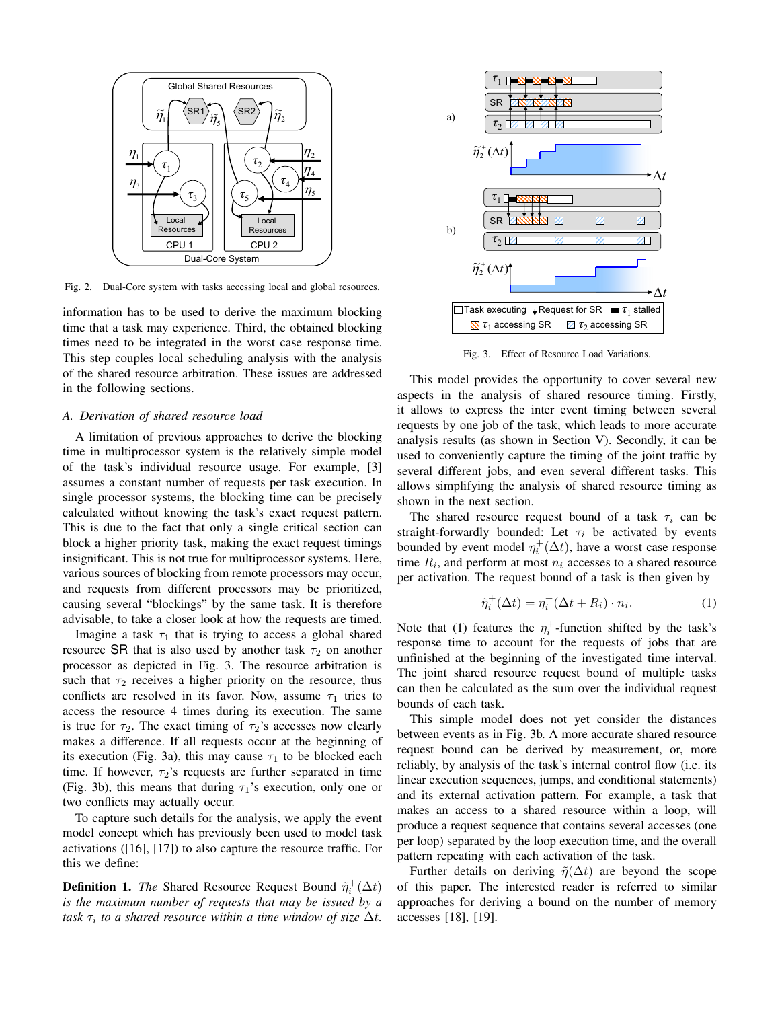

Fig. 2. Dual-Core system with tasks accessing local and global resources.

information has to be used to derive the maximum blocking time that a task may experience. Third, the obtained blocking times need to be integrated in the worst case response time. This step couples local scheduling analysis with the analysis of the shared resource arbitration. These issues are addressed in the following sections.

#### *A. Derivation of shared resource load*

A limitation of previous approaches to derive the blocking time in multiprocessor system is the relatively simple model of the task's individual resource usage. For example, [3] assumes a constant number of requests per task execution. In single processor systems, the blocking time can be precisely calculated without knowing the task's exact request pattern. This is due to the fact that only a single critical section can block a higher priority task, making the exact request timings insignificant. This is not true for multiprocessor systems. Here, various sources of blocking from remote processors may occur, and requests from different processors may be prioritized, causing several "blockings" by the same task. It is therefore advisable, to take a closer look at how the requests are timed.

Imagine a task  $\tau_1$  that is trying to access a global shared resource SR that is also used by another task  $\tau_2$  on another processor as depicted in Fig. 3. The resource arbitration is such that  $\tau_2$  receives a higher priority on the resource, thus conflicts are resolved in its favor. Now, assume  $\tau_1$  tries to access the resource 4 times during its execution. The same is true for  $\tau_2$ . The exact timing of  $\tau_2$ 's accesses now clearly makes a difference. If all requests occur at the beginning of its execution (Fig. 3a), this may cause  $\tau_1$  to be blocked each time. If however,  $\tau_2$ 's requests are further separated in time (Fig. 3b), this means that during  $\tau_1$ 's execution, only one or two conflicts may actually occur.

To capture such details for the analysis, we apply the event model concept which has previously been used to model task activations ([16], [17]) to also capture the resource traffic. For this we define:

**Definition 1.** *The* Shared Resource Request Bound  $\tilde{\eta}_i^+(\Delta t)$  is the maximum number of requests that may be issued by a *is the maximum number of requests that may be issued by a task*  $\tau_i$  *to a shared resource within a time window of size*  $\Delta t$ *.* 



Fig. 3. Effect of Resource Load Variations.

This model provides the opportunity to cover several new aspects in the analysis of shared resource timing. Firstly, it allows to express the inter event timing between several requests by one job of the task, which leads to more accurate analysis results (as shown in Section V). Secondly, it can be used to conveniently capture the timing of the joint traffic by several different jobs, and even several different tasks. This allows simplifying the analysis of shared resource timing as shown in the next section.

The shared resource request bound of a task  $\tau_i$  can be straight-forwardly bounded: Let  $\tau_i$  be activated by events bounded by event model  $\eta_i^{\dagger}(\Delta t)$ , have a worst case response<br>time  $R_i$ , and perform at most  $n_i$ , accesses to a shared resource time  $R_i$ , and perform at most  $n_i$  accesses to a shared resource per activation. The request bound of a task is then given by

$$
\tilde{\eta}_i^+(\Delta t) = \eta_i^+(\Delta t + R_i) \cdot n_i. \tag{1}
$$

Note that (1) features the  $\eta_i^+$ -function shifted by the task's<br>response time to account for the requests of jobs that are response time to account for the requests of jobs that are unfinished at the beginning of the investigated time interval. The joint shared resource request bound of multiple tasks can then be calculated as the sum over the individual request bounds of each task.

This simple model does not yet consider the distances between events as in Fig. 3b. A more accurate shared resource request bound can be derived by measurement, or, more reliably, by analysis of the task's internal control flow (i.e. its linear execution sequences, jumps, and conditional statements) and its external activation pattern. For example, a task that makes an access to a shared resource within a loop, will produce a request sequence that contains several accesses (one per loop) separated by the loop execution time, and the overall pattern repeating with each activation of the task.

Further details on deriving  $\tilde{\eta}(\Delta t)$  are beyond the scope of this paper. The interested reader is referred to similar approaches for deriving a bound on the number of memory accesses [18], [19].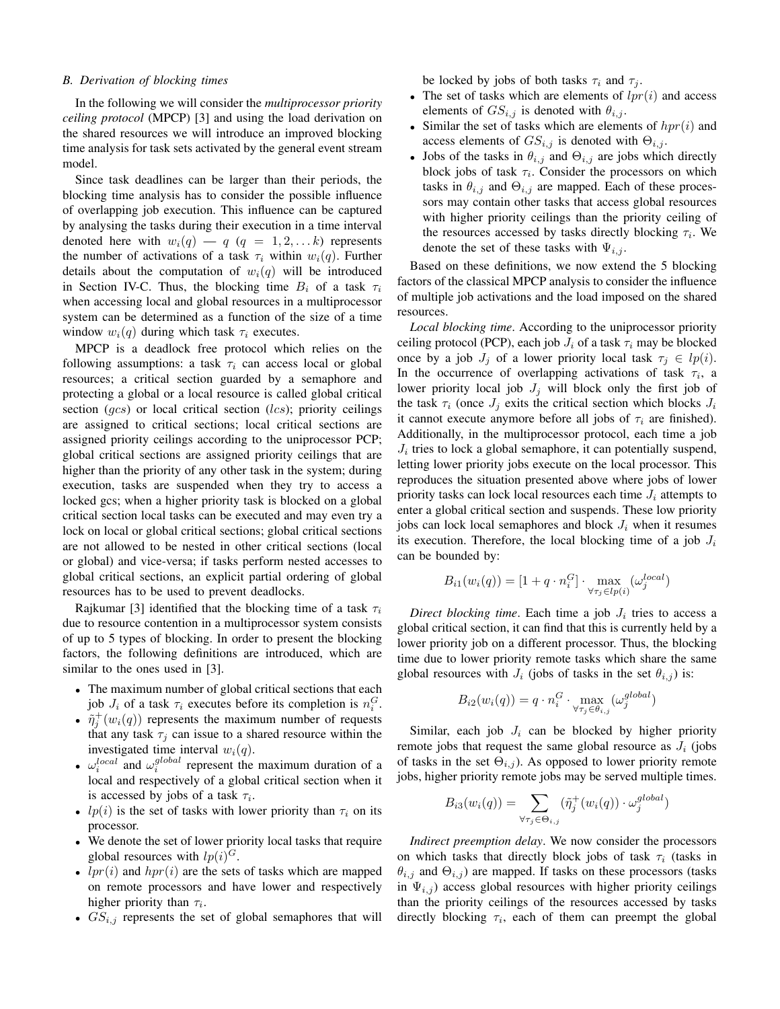### *B. Derivation of blocking times*

In the following we will consider the *multiprocessor priority ceiling protocol* (MPCP) [3] and using the load derivation on the shared resources we will introduce an improved blocking time analysis for task sets activated by the general event stream model.

Since task deadlines can be larger than their periods, the blocking time analysis has to consider the possible influence of overlapping job execution. This influence can be captured by analysing the tasks during their execution in a time interval denoted here with  $w_i(q) = q$   $(q = 1, 2, \ldots k)$  represents the number of activations of a task  $\tau_i$  within  $w_i(q)$ . Further details about the computation of  $w_i(q)$  will be introduced in Section IV-C. Thus, the blocking time  $B_i$  of a task  $\tau_i$ when accessing local and global resources in a multiprocessor system can be determined as a function of the size of a time window  $w_i(q)$  during which task  $\tau_i$  executes.

MPCP is a deadlock free protocol which relies on the following assumptions: a task  $\tau_i$  can access local or global resources; a critical section guarded by a semaphore and protecting a global or a local resource is called global critical section  $(qcs)$  or local critical section  $(lcs)$ ; priority ceilings are assigned to critical sections; local critical sections are assigned priority ceilings according to the uniprocessor PCP; global critical sections are assigned priority ceilings that are higher than the priority of any other task in the system; during execution, tasks are suspended when they try to access a locked gcs; when a higher priority task is blocked on a global critical section local tasks can be executed and may even try a lock on local or global critical sections; global critical sections are not allowed to be nested in other critical sections (local or global) and vice-versa; if tasks perform nested accesses to global critical sections, an explicit partial ordering of global resources has to be used to prevent deadlocks.

Rajkumar [3] identified that the blocking time of a task  $\tau_i$ due to resource contention in a multiprocessor system consists of up to 5 types of blocking. In order to present the blocking factors, the following definitions are introduced, which are similar to the ones used in [3].

- The maximum number of global critical sections that each job  $J_i$  of a task  $\tau_i$  executes before its completion is  $n_i^G$ .
- $\tilde{\eta}_j^+(w_i(q))$  represents the maximum number of requests<br>that any task  $\tau_i$  can issue to a shared resource within the that any task  $\tau_j$  can issue to a shared resource within the investigated time interval  $w_i(q)$ .
- $\omega_i^{local}$  and  $\omega_i^{global}$  represent the maximum duration of a local and respectively of a global critical section when it local and respectively of a global critical section when it is accessed by jobs of a task  $\tau_i$ .
- $lp(i)$  is the set of tasks with lower priority than  $\tau_i$  on its processor.
- We denote the set of lower priority local tasks that require global resources with  $lp(i)^{G}$ .
- $lpr(i)$  and  $hpr(i)$  are the sets of tasks which are mapped on remote processors and have lower and respectively higher priority than  $\tau_i$ .
- $GS_{i,j}$  represents the set of global semaphores that will

be locked by jobs of both tasks  $\tau_i$  and  $\tau_j$ .

- The set of tasks which are elements of  $lpr(i)$  and access elements of  $GS_{i,j}$  is denoted with  $\theta_{i,j}$ .
- Similar the set of tasks which are elements of  $hpr(i)$  and access elements of  $GS_{i,j}$  is denoted with  $\Theta_{i,j}$ .
- Jobs of the tasks in  $\theta_{i,j}$  and  $\Theta_{i,j}$  are jobs which directly block jobs of task  $\tau_i$ . Consider the processors on which tasks in  $\theta_{i,j}$  and  $\Theta_{i,j}$  are mapped. Each of these processors may contain other tasks that access global resources with higher priority ceilings than the priority ceiling of the resources accessed by tasks directly blocking  $\tau_i$ . We denote the set of these tasks with  $\Psi_{i,j}$ .

Based on these definitions, we now extend the 5 blocking factors of the classical MPCP analysis to consider the influence of multiple job activations and the load imposed on the shared resources.

*Local blocking time*. According to the uniprocessor priority ceiling protocol (PCP), each job  $J_i$  of a task  $\tau_i$  may be blocked once by a job  $J_i$  of a lower priority local task  $\tau_i \in lp(i)$ . In the occurrence of overlapping activations of task  $\tau_i$ , a lower priority local job  $J_i$  will block only the first job of the task  $\tau_i$  (once  $J_j$  exits the critical section which blocks  $J_i$ it cannot execute anymore before all jobs of  $\tau_i$  are finished). Additionally, in the multiprocessor protocol, each time a job  $J_i$  tries to lock a global semaphore, it can potentially suspend, letting lower priority jobs execute on the local processor. This reproduces the situation presented above where jobs of lower priority tasks can lock local resources each time  $J_i$  attempts to enter a global critical section and suspends. These low priority jobs can lock local semaphores and block  $J_i$  when it resumes its execution. Therefore, the local blocking time of a job  $J_i$ can be bounded by:

$$
B_{i1}(w_i(q)) = [1 + q \cdot n_i^G] \cdot \max_{\forall \tau_j \in lp(i)} (\omega_j^{local})
$$

*Direct blocking time.* Each time a job  $J_i$  tries to access a global critical section, it can find that this is currently held by a lower priority job on a different processor. Thus, the blocking time due to lower priority remote tasks which share the same global resources with  $J_i$  (jobs of tasks in the set  $\theta_{i,j}$ ) is:

$$
B_{i2}(w_i(q)) = q \cdot n_i^G \cdot \max_{\forall \tau_j \in \theta_{i,j}} (\omega_j^{global})
$$

Similar, each job  $J_i$  can be blocked by higher priority remote jobs that request the same global resource as  $J_i$  (jobs of tasks in the set  $\Theta_{i,j}$ ). As opposed to lower priority remote jobs, higher priority remote jobs may be served multiple times.

$$
B_{i3}(w_i(q)) = \sum_{\forall \tau_j \in \Theta_{i,j}} (\tilde{\eta}_j^+(w_i(q)) \cdot \omega_j^{global})
$$

*Indirect preemption delay*. We now consider the processors on which tasks that directly block jobs of task  $\tau_i$  (tasks in  $\theta_{i,j}$  and  $\Theta_{i,j}$ ) are mapped. If tasks on these processors (tasks in  $\Psi_{i,j}$ ) access global resources with higher priority ceilings than the priority ceilings of the resources accessed by tasks directly blocking  $\tau_i$ , each of them can preempt the global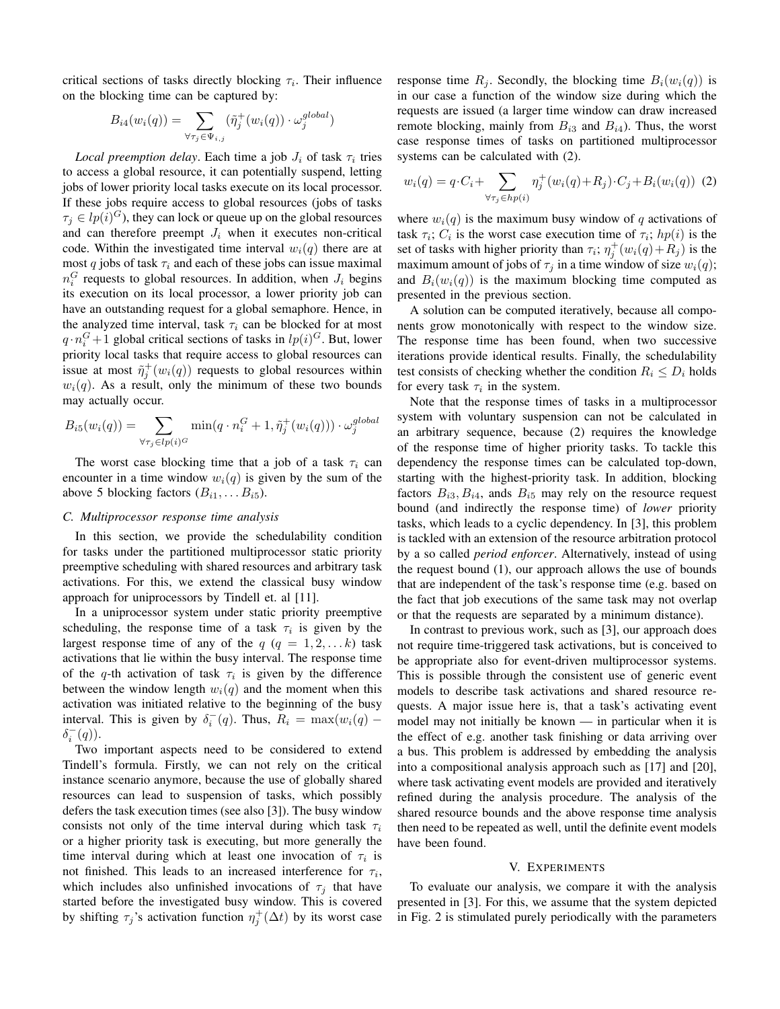critical sections of tasks directly blocking  $\tau_i$ . Their influence on the blocking time can be captured by:

$$
B_{i4}(w_i(q)) = \sum_{\forall \tau_j \in \Psi_{i,j}} (\tilde{\eta}_j^+(w_i(q)) \cdot \omega_j^{global})
$$

*Local preemption delay*. Each time a job  $J_i$  of task  $\tau_i$  tries to access a global resource, it can potentially suspend, letting jobs of lower priority local tasks execute on its local processor. If these jobs require access to global resources (jobs of tasks  $\tau_i \in lp(i)^G$ , they can lock or queue up on the global resources and can therefore preempt  $J_i$  when it executes non-critical code. Within the investigated time interval  $w_i(q)$  there are at most q jobs of task  $\tau_i$  and each of these jobs can issue maximal  $n_i^G$  requests to global resources. In addition, when  $J_i$  begins<br>its execution on its local processor, a lower priority job can its execution on its local processor, a lower priority job can have an outstanding request for a global semaphore. Hence, in the analyzed time interval, task  $\tau_i$  can be blocked for at most  $q \cdot n_i^G + 1$  global critical sections of tasks in  $lp(i)^G$ . But, lower<br>priority local tasks that require access to global resources can priority local tasks that require access to global resources can issue at most  $\tilde{\eta}_j^+(w_i(q))$  requests to global resources within  $w_i(q)$ . As a result, only the minimum of these two bounds may actually occur.

$$
B_{i5}(w_i(q)) = \sum_{\forall \tau_j \in lp(i)^G} \min(q \cdot n_i^G + 1, \tilde{\eta}_j^+(w_i(q))) \cdot \omega_j^{global}
$$

The worst case blocking time that a job of a task  $\tau_i$  can encounter in a time window  $w_i(q)$  is given by the sum of the above 5 blocking factors  $(B_{i1}, \ldots B_{i5})$ .

## *C. Multiprocessor response time analysis*

In this section, we provide the schedulability condition for tasks under the partitioned multiprocessor static priority preemptive scheduling with shared resources and arbitrary task activations. For this, we extend the classical busy window approach for uniprocessors by Tindell et. al [11].

In a uniprocessor system under static priority preemptive scheduling, the response time of a task  $\tau_i$  is given by the largest response time of any of the  $q$   $(q = 1, 2, \ldots k)$  task activations that lie within the busy interval. The response time of the q-th activation of task  $\tau_i$  is given by the difference between the window length  $w_i(q)$  and the moment when this activation was initiated relative to the beginning of the busy interval. This is given by  $\delta_i^-(q)$ . Thus,  $R_i = \max(w_i(q) - \delta^-(q))$  $\delta_i^-(q)$ ).

Two important aspects need to be considered to extend Tindell's formula. Firstly, we can not rely on the critical instance scenario anymore, because the use of globally shared resources can lead to suspension of tasks, which possibly defers the task execution times (see also [3]). The busy window consists not only of the time interval during which task  $\tau_i$ or a higher priority task is executing, but more generally the time interval during which at least one invocation of  $\tau_i$  is not finished. This leads to an increased interference for  $\tau_i$ , which includes also unfinished invocations of  $\tau_i$  that have started before the investigated busy window. This is covered by shifting  $\tau_j$ 's activation function  $\eta_j^+(\Delta t)$  by its worst case response time  $R_i$ . Secondly, the blocking time  $B_i(w_i(q))$  is in our case a function of the window size during which the requests are issued (a larger time window can draw increased remote blocking, mainly from  $B_{i3}$  and  $B_{i4}$ ). Thus, the worst case response times of tasks on partitioned multiprocessor systems can be calculated with (2).

$$
w_i(q) = q \cdot C_i + \sum_{\forall \tau_j \in hp(i)} \eta_j^+(w_i(q) + R_j) \cdot C_j + B_i(w_i(q)) \tag{2}
$$

where  $w_i(q)$  is the maximum busy window of q activations of task  $\tau_i$ ;  $C_i$  is the worst case execution time of  $\tau_i$ ;  $hp(i)$  is the set of tasks with higher priority than  $\tau_i$ ;  $\eta_j^+(w_i(q) + R_j)$  is the maximum amount of jobs of  $\tau$ , in a time window of size  $w_i(q)$ . maximum amount of jobs of  $\tau_i$  in a time window of size  $w_i(q)$ ; and  $B_i(w_i(q))$  is the maximum blocking time computed as presented in the previous section.

A solution can be computed iteratively, because all components grow monotonically with respect to the window size. The response time has been found, when two successive iterations provide identical results. Finally, the schedulability test consists of checking whether the condition  $R_i \leq D_i$  holds for every task  $\tau_i$  in the system.

Note that the response times of tasks in a multiprocessor system with voluntary suspension can not be calculated in an arbitrary sequence, because (2) requires the knowledge of the response time of higher priority tasks. To tackle this dependency the response times can be calculated top-down, starting with the highest-priority task. In addition, blocking factors  $B_{i3}$ ,  $B_{i4}$ , ands  $B_{i5}$  may rely on the resource request bound (and indirectly the response time) of *lower* priority tasks, which leads to a cyclic dependency. In [3], this problem is tackled with an extension of the resource arbitration protocol by a so called *period enforcer*. Alternatively, instead of using the request bound (1), our approach allows the use of bounds that are independent of the task's response time (e.g. based on the fact that job executions of the same task may not overlap or that the requests are separated by a minimum distance).

In contrast to previous work, such as [3], our approach does not require time-triggered task activations, but is conceived to be appropriate also for event-driven multiprocessor systems. This is possible through the consistent use of generic event models to describe task activations and shared resource requests. A major issue here is, that a task's activating event model may not initially be known — in particular when it is the effect of e.g. another task finishing or data arriving over a bus. This problem is addressed by embedding the analysis into a compositional analysis approach such as [17] and [20], where task activating event models are provided and iteratively refined during the analysis procedure. The analysis of the shared resource bounds and the above response time analysis then need to be repeated as well, until the definite event models have been found.

#### V. EXPERIMENTS

To evaluate our analysis, we compare it with the analysis presented in [3]. For this, we assume that the system depicted in Fig. 2 is stimulated purely periodically with the parameters